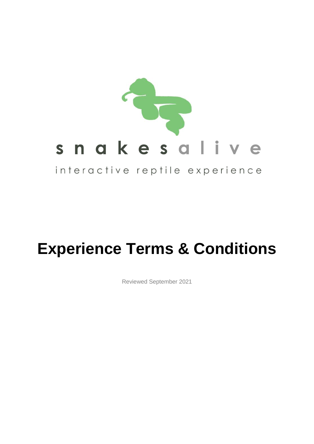

# **Experience Terms & Conditions**

Reviewed September 2021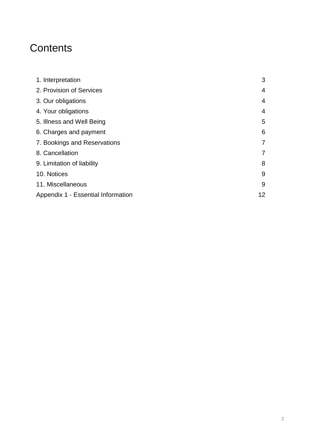# **Contents**

| 1. Interpretation                  | 3              |
|------------------------------------|----------------|
| 2. Provision of Services           | $\overline{4}$ |
| 3. Our obligations                 | $\overline{4}$ |
| 4. Your obligations                | 4              |
| 5. Illness and Well Being          | 5              |
| 6. Charges and payment             | 6              |
| 7. Bookings and Reservations       | 7              |
| 8. Cancellation                    | 7              |
| 9. Limitation of liability         | 8              |
| 10. Notices                        | 9              |
| 11. Miscellaneous                  | 9              |
| Appendix 1 - Essential Information | 12             |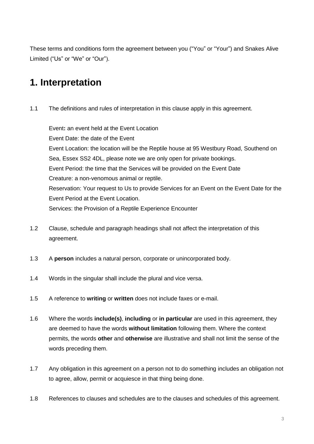These terms and conditions form the agreement between you ("You" or "Your") and Snakes Alive Limited ("Us" or "We" or "Our").

## **1. Interpretation**

1.1 The definitions and rules of interpretation in this clause apply in this agreement.

Event**:** an event held at the Event Location Event Date: the date of the Event Event Location: the location will be the Reptile house at 95 Westbury Road, Southend on Sea, Essex SS2 4DL, please note we are only open for private bookings. Event Period: the time that the Services will be provided on the Event Date Creature: a non-venomous animal or reptile. Reservation: Your request to Us to provide Services for an Event on the Event Date for the Event Period at the Event Location. Services: the Provision of a Reptile Experience Encounter

- 1.2 Clause, schedule and paragraph headings shall not affect the interpretation of this agreement.
- 1.3 A **person** includes a natural person, corporate or unincorporated body.
- 1.4 Words in the singular shall include the plural and vice versa.
- 1.5 A reference to **writing** or **written** does not include faxes or e-mail.
- 1.6 Where the words **include(s)**, **including** or **in particular** are used in this agreement, they are deemed to have the words **without limitation** following them. Where the context permits, the words **other** and **otherwise** are illustrative and shall not limit the sense of the words preceding them.
- 1.7 Any obligation in this agreement on a person not to do something includes an obligation not to agree, allow, permit or acquiesce in that thing being done.
- 1.8 References to clauses and schedules are to the clauses and schedules of this agreement.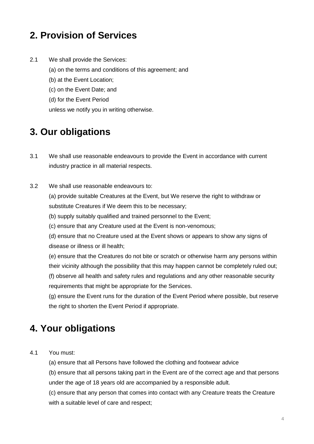# **2. Provision of Services**

- 2.1 We shall provide the Services:
	- (a) on the terms and conditions of this agreement; and
	- (b) at the Event Location;
	- (c) on the Event Date; and
	- (d) for the Event Period

unless we notify you in writing otherwise.

## **3. Our obligations**

- 3.1 We shall use reasonable endeavours to provide the Event in accordance with current industry practice in all material respects.
- 3.2 We shall use reasonable endeavours to: (a) provide suitable Creatures at the Event, but We reserve the right to withdraw or substitute Creatures if We deem this to be necessary;
	- (b) supply suitably qualified and trained personnel to the Event;
	- (c) ensure that any Creature used at the Event is non-venomous;
	- (d) ensure that no Creature used at the Event shows or appears to show any signs of disease or illness or ill health;
	- (e) ensure that the Creatures do not bite or scratch or otherwise harm any persons within their vicinity although the possibility that this may happen cannot be completely ruled out;
	- (f) observe all health and safety rules and regulations and any other reasonable security requirements that might be appropriate for the Services.
	- (g) ensure the Event runs for the duration of the Event Period where possible, but reserve the right to shorten the Event Period if appropriate.

# **4. Your obligations**

- 4.1 You must:
	- (a) ensure that all Persons have followed the clothing and footwear advice
	- (b) ensure that all persons taking part in the Event are of the correct age and that persons under the age of 18 years old are accompanied by a responsible adult.
	- (c) ensure that any person that comes into contact with any Creature treats the Creature with a suitable level of care and respect;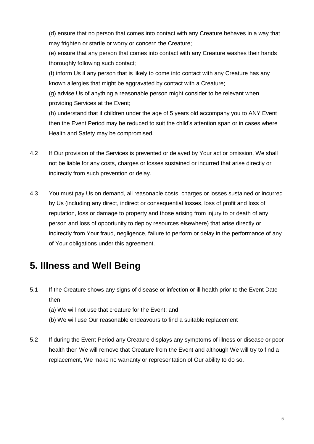(d) ensure that no person that comes into contact with any Creature behaves in a way that may frighten or startle or worry or concern the Creature;

(e) ensure that any person that comes into contact with any Creature washes their hands thoroughly following such contact;

(f) inform Us if any person that is likely to come into contact with any Creature has any known allergies that might be aggravated by contact with a Creature;

(g) advise Us of anything a reasonable person might consider to be relevant when providing Services at the Event;

(h) understand that if children under the age of 5 years old accompany you to ANY Event then the Event Period may be reduced to suit the child's attention span or in cases where Health and Safety may be compromised.

- 4.2 If Our provision of the Services is prevented or delayed by Your act or omission, We shall not be liable for any costs, charges or losses sustained or incurred that arise directly or indirectly from such prevention or delay.
- 4.3 You must pay Us on demand, all reasonable costs, charges or losses sustained or incurred by Us (including any direct, indirect or consequential losses, loss of profit and loss of reputation, loss or damage to property and those arising from injury to or death of any person and loss of opportunity to deploy resources elsewhere) that arise directly or indirectly from Your fraud, negligence, failure to perform or delay in the performance of any of Your obligations under this agreement.

## **5. Illness and Well Being**

- 5.1 If the Creature shows any signs of disease or infection or ill health prior to the Event Date then;
	- (a) We will not use that creature for the Event; and
	- (b) We will use Our reasonable endeavours to find a suitable replacement
- 5.2 If during the Event Period any Creature displays any symptoms of illness or disease or poor health then We will remove that Creature from the Event and although We will try to find a replacement, We make no warranty or representation of Our ability to do so.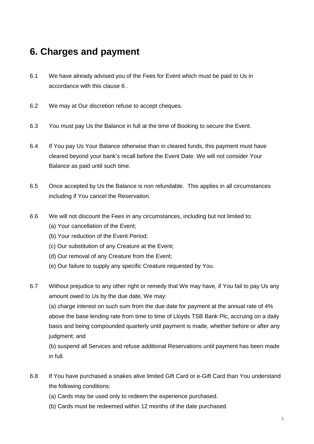## **6. Charges and payment**

- 6.1 We have already advised you of the Fees for Event which must be paid to Us in accordance with this clause 6 .
- 6.2 We may at Our discretion refuse to accept cheques.
- 6.3 You must pay Us the Balance in full at the time of Booking to secure the Event.
- 6.4 If You pay Us Your Balance otherwise than in cleared funds, this payment must have cleared beyond your bank's recall before the Event Date. We will not consider Your Balance as paid until such time.
- 6.5 Once accepted by Us the Balance is non refundable. This applies in all circumstances including if You cancel the Reservation.
- 6.6 We will not discount the Fees in any circumstances, including but not limited to:
	- (a) Your cancellation of the Event;
	- (b) Your reduction of the Event Period;
	- (c) Our substitution of any Creature at the Event;
	- (d) Our removal of any Creature from the Event;
	- (e) Our failure to supply any specific Creature requested by You.
- 6.7 Without prejudice to any other right or remedy that We may have, if You fail to pay Us any amount owed to Us by the due date, We may:

(a) charge interest on such sum from the due date for payment at the annual rate of 4% above the base lending rate from time to time of Lloyds TSB Bank Plc, accruing on a daily basis and being compounded quarterly until payment is made, whether before or after any judgment; and

(b) suspend all Services and refuse additional Reservations until payment has been made in full.

- 6.8 If You have purchased a snakes alive limited Gift Card or e-Gift Card than You understand the following conditions:
	- (a) Cards may be used only to redeem the experience purchased.
	- (b) Cards must be redeemed within 12 months of the date purchased.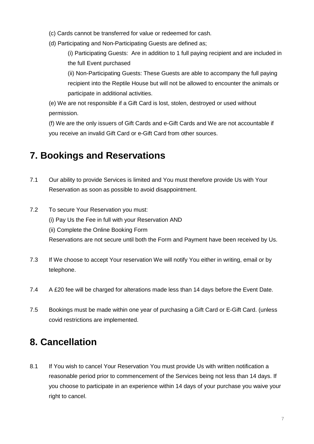- (c) Cards cannot be transferred for value or redeemed for cash.
- (d) Participating and Non-Participating Guests are defined as;

(i) Participating Guests: Are in addition to 1 full paying recipient and are included in the full Event purchased

(ii) Non-Participating Guests: These Guests are able to accompany the full paying recipient into the Reptile House but will not be allowed to encounter the animals or participate in additional activities.

(e) We are not responsible if a Gift Card is lost, stolen, destroyed or used without permission.

(f) We are the only issuers of Gift Cards and e-Gift Cards and We are not accountable if you receive an invalid Gift Card or e-Gift Card from other sources.

## **7. Bookings and Reservations**

- 7.1 Our ability to provide Services is limited and You must therefore provide Us with Your Reservation as soon as possible to avoid disappointment.
- 7.2 To secure Your Reservation you must: (i) Pay Us the Fee in full with your Reservation AND (ii) Complete the Online Booking Form Reservations are not secure until both the Form and Payment have been received by Us.
- 7.3 If We choose to accept Your reservation We will notify You either in writing, email or by telephone.
- 7.4 A £20 fee will be charged for alterations made less than 14 days before the Event Date.
- 7.5 Bookings must be made within one year of purchasing a Gift Card or E-Gift Card. (unless covid restrictions are implemented.

# **8. Cancellation**

8.1 If You wish to cancel Your Reservation You must provide Us with written notification a reasonable period prior to commencement of the Services being not less than 14 days. If you choose to participate in an experience within 14 days of your purchase you waive your right to cancel.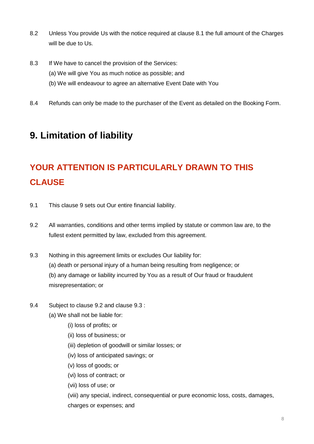- 8.2 Unless You provide Us with the notice required at clause 8.1 the full amount of the Charges will be due to Us.
- 8.3 If We have to cancel the provision of the Services:
	- (a) We will give You as much notice as possible; and
	- (b) We will endeavour to agree an alternative Event Date with You
- 8.4 Refunds can only be made to the purchaser of the Event as detailed on the Booking Form.

## **9. Limitation of liability**

# **YOUR ATTENTION IS PARTICULARLY DRAWN TO THIS CLAUSE**

- 9.1 This clause 9 sets out Our entire financial liability.
- 9.2 All warranties, conditions and other terms implied by statute or common law are, to the fullest extent permitted by law, excluded from this agreement.
- 9.3 Nothing in this agreement limits or excludes Our liability for: (a) death or personal injury of a human being resulting from negligence; or (b) any damage or liability incurred by You as a result of Our fraud or fraudulent
	- misrepresentation; or
- 9.4 Subject to clause 9.2 and clause 9.3 :
	- (a) We shall not be liable for:
		- (i) loss of profits; or
		- (ii) loss of business; or
		- (iii) depletion of goodwill or similar losses; or
		- (iv) loss of anticipated savings; or
		- (v) loss of goods; or
		- (vi) loss of contract; or
		- (vii) loss of use; or

(viii) any special, indirect, consequential or pure economic loss, costs, damages, charges or expenses; and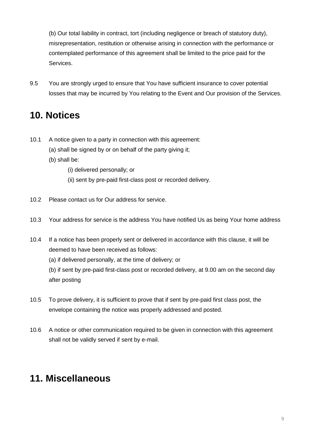(b) Our total liability in contract, tort (including negligence or breach of statutory duty), misrepresentation, restitution or otherwise arising in connection with the performance or contemplated performance of this agreement shall be limited to the price paid for the Services.

9.5 You are strongly urged to ensure that You have sufficient insurance to cover potential losses that may be incurred by You relating to the Event and Our provision of the Services.

### **10. Notices**

- 10.1 A notice given to a party in connection with this agreement:
	- (a) shall be signed by or on behalf of the party giving it;
	- (b) shall be:
		- (i) delivered personally; or
		- (ii) sent by pre-paid first-class post or recorded delivery.
- 10.2 Please contact us for Our address for service.
- 10.3 Your address for service is the address You have notified Us as being Your home address
- 10.4 If a notice has been properly sent or delivered in accordance with this clause, it will be deemed to have been received as follows:
	- (a) if delivered personally, at the time of delivery; or

(b) if sent by pre-paid first-class post or recorded delivery, at 9.00 am on the second day after posting

- 10.5 To prove delivery, it is sufficient to prove that if sent by pre-paid first class post, the envelope containing the notice was properly addressed and posted.
- 10.6 A notice or other communication required to be given in connection with this agreement shall not be validly served if sent by e-mail.

#### **11. Miscellaneous**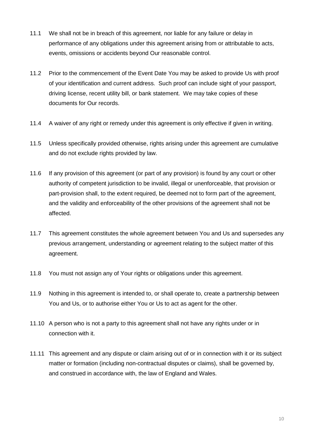- 11.1 We shall not be in breach of this agreement, nor liable for any failure or delay in performance of any obligations under this agreement arising from or attributable to acts, events, omissions or accidents beyond Our reasonable control.
- 11.2 Prior to the commencement of the Event Date You may be asked to provide Us with proof of your identification and current address. Such proof can include sight of your passport, driving license, recent utility bill, or bank statement. We may take copies of these documents for Our records.
- 11.4 A waiver of any right or remedy under this agreement is only effective if given in writing.
- 11.5 Unless specifically provided otherwise, rights arising under this agreement are cumulative and do not exclude rights provided by law.
- 11.6 If any provision of this agreement (or part of any provision) is found by any court or other authority of competent jurisdiction to be invalid, illegal or unenforceable, that provision or part-provision shall, to the extent required, be deemed not to form part of the agreement, and the validity and enforceability of the other provisions of the agreement shall not be affected.
- 11.7 This agreement constitutes the whole agreement between You and Us and supersedes any previous arrangement, understanding or agreement relating to the subject matter of this agreement.
- 11.8 You must not assign any of Your rights or obligations under this agreement.
- 11.9 Nothing in this agreement is intended to, or shall operate to, create a partnership between You and Us, or to authorise either You or Us to act as agent for the other.
- 11.10 A person who is not a party to this agreement shall not have any rights under or in connection with it.
- 11.11 This agreement and any dispute or claim arising out of or in connection with it or its subject matter or formation (including non-contractual disputes or claims), shall be governed by, and construed in accordance with, the law of England and Wales.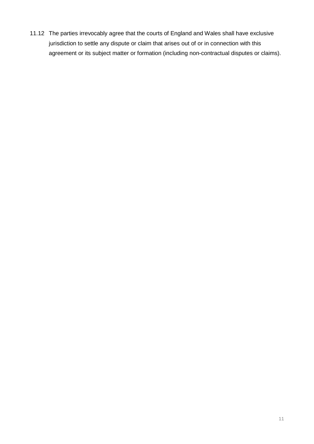11.12 The parties irrevocably agree that the courts of England and Wales shall have exclusive jurisdiction to settle any dispute or claim that arises out of or in connection with this agreement or its subject matter or formation (including non-contractual disputes or claims).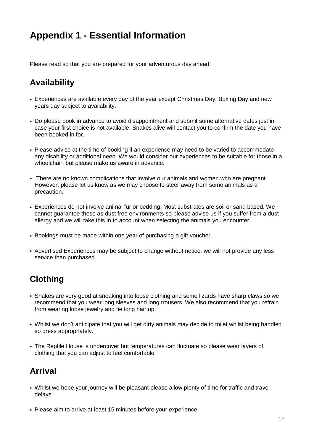## **Appendix 1 - Essential Information**

Please read so that you are prepared for your adventurous day ahead!

#### **Availability**

- Experiences are available every day of the year except Christmas Day, Boxing Day and new years day subject to availability.
- Do please book in advance to avoid disappointment and submit some alternative dates just in case your first choice is not available. Snakes alive will contact you to confirm the date you have been booked in for.
- Please advise at the time of booking if an experience may need to be varied to accommodate any disability or additional need. We would consider our experiences to be suitable for those in a wheelchair, but please make us aware in advance.
- There are no known complications that involve our animals and women who are pregnant. However, please let us know as we may choose to steer away from some animals as a precaution.
- Experiences do not involve animal fur or bedding. Most substrates are soil or sand based. We cannot guarantee these as dust free environments so please advise us if you suffer from a dust allergy and we will take this in to account when selecting the animals you encounter.
- Bookings must be made within one year of purchasing a gift voucher.
- Advertised Experiences may be subject to change without notice, we will not provide any less service than purchased.

#### **Clothing**

- Snakes are very good at sneaking into loose clothing and some lizards have sharp claws so we recommend that you wear long sleeves and long trousers. We also recommend that you refrain from wearing loose jewelry and tie long hair up.
- Whilst we don't anticipate that you will get dirty animals may decide to toilet whilst being handled so dress appropriately.
- The Reptile House is undercover but temperatures can fluctuate so please wear layers of clothing that you can adjust to feel comfortable.

#### **Arrival**

- Whilst we hope your journey will be pleasant please allow plenty of time for traffic and travel delays.
- Please aim to arrive at least 15 minutes before your experience.